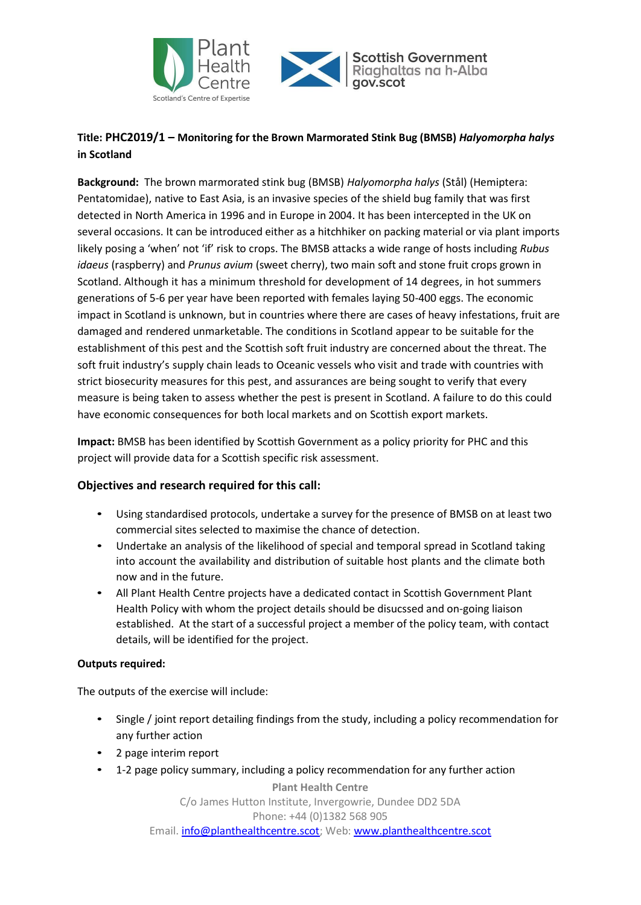



## **Title: PHC2019/1 – Monitoring for the Brown Marmorated Stink Bug (BMSB)** *Halyomorpha halys* **in Scotland**

**Background:** The brown marmorated stink bug (BMSB) *Halyomorpha halys* (Stål) (Hemiptera: Pentatomidae), native to East Asia, is an invasive species of the shield bug family that was first detected in North America in 1996 and in Europe in 2004. It has been intercepted in the UK on several occasions. It can be introduced either as a hitchhiker on packing material or via plant imports likely posing a 'when' not 'if' risk to crops. The BMSB attacks a wide range of hosts including *Rubus idaeus* (raspberry) and *Prunus avium* (sweet cherry), two main soft and stone fruit crops grown in Scotland. Although it has a minimum threshold for development of 14 degrees, in hot summers generations of 5-6 per year have been reported with females laying 50-400 eggs. The economic impact in Scotland is unknown, but in countries where there are cases of heavy infestations, fruit are damaged and rendered unmarketable. The conditions in Scotland appear to be suitable for the establishment of this pest and the Scottish soft fruit industry are concerned about the threat. The soft fruit industry's supply chain leads to Oceanic vessels who visit and trade with countries with strict biosecurity measures for this pest, and assurances are being sought to verify that every measure is being taken to assess whether the pest is present in Scotland. A failure to do this could have economic consequences for both local markets and on Scottish export markets.

**Impact:** BMSB has been identified by Scottish Government as a policy priority for PHC and this project will provide data for a Scottish specific risk assessment.

## **Objectives and research required for this call:**

- Using standardised protocols, undertake a survey for the presence of BMSB on at least two commercial sites selected to maximise the chance of detection.
- Undertake an analysis of the likelihood of special and temporal spread in Scotland taking into account the availability and distribution of suitable host plants and the climate both now and in the future.
- All Plant Health Centre projects have a dedicated contact in Scottish Government Plant Health Policy with whom the project details should be disucssed and on-going liaison established. At the start of a successful project a member of the policy team, with contact details, will be identified for the project.

## **Outputs required:**

The outputs of the exercise will include:

- Single / joint report detailing findings from the study, including a policy recommendation for any further action
- 2 page interim report
- 1-2 page policy summary, including a policy recommendation for any further action

**Plant Health Centre** C/o James Hutton Institute, Invergowrie, Dundee DD2 5DA Phone: +44 (0)1382 568 905 Email. **info@planthealthcentre.scot**; Web: [www.planthealthcentre.scot](http://www.planthealthcentre.scot/)